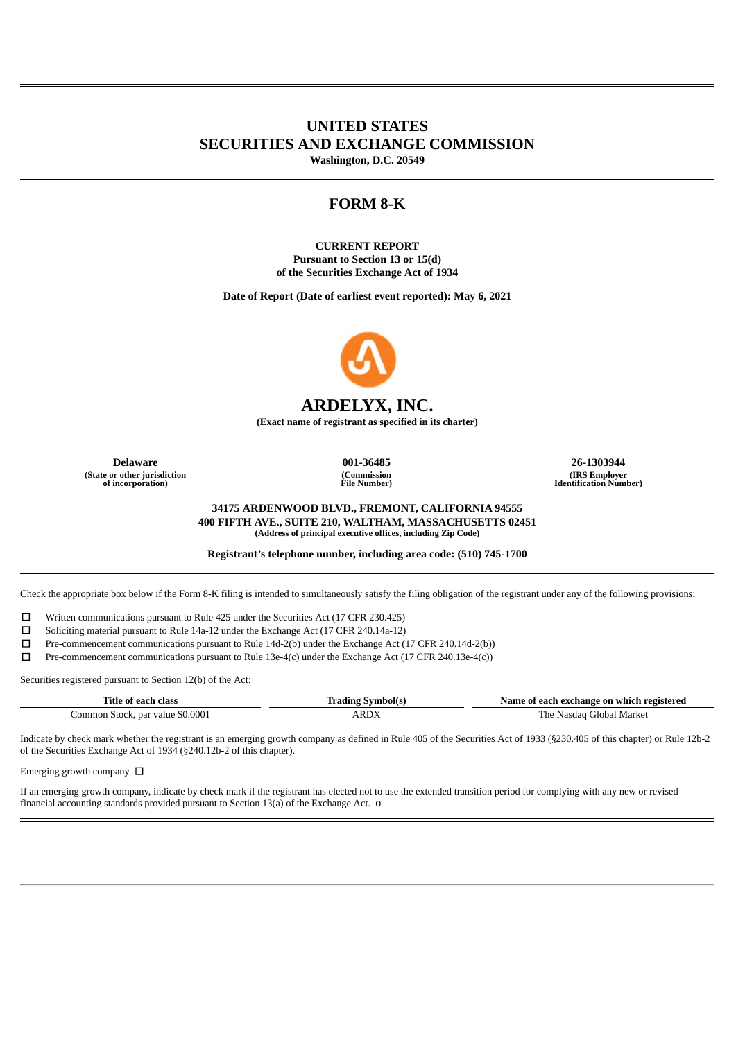# **UNITED STATES SECURITIES AND EXCHANGE COMMISSION**

**Washington, D.C. 20549**

# **FORM 8-K**

**CURRENT REPORT Pursuant to Section 13 or 15(d) of the Securities Exchange Act of 1934**

**Date of Report (Date of earliest event reported): May 6, 2021**



# **ARDELYX, INC.**

**(Exact name of registrant as specified in its charter)**

**(State or other jurisdiction of incorporation)**

**(Commission File Number)**

**Delaware 001-36485 26-1303944 (IRS Employer Identification Number)**

> **34175 ARDENWOOD BLVD., FREMONT, CALIFORNIA 94555 400 FIFTH AVE., SUITE 210, WALTHAM, MASSACHUSETTS 02451 (Address of principal executive offices, including Zip Code)**

**Registrant's telephone number, including area code: (510) 745-1700**

Check the appropriate box below if the Form 8-K filing is intended to simultaneously satisfy the filing obligation of the registrant under any of the following provisions:

☐ Written communications pursuant to Rule 425 under the Securities Act (17 CFR 230.425)

☐ Soliciting material pursuant to Rule 14a-12 under the Exchange Act (17 CFR 240.14a-12)

☐ Pre-commencement communications pursuant to Rule 14d-2(b) under the Exchange Act (17 CFR 240.14d-2(b))

☐ Pre-commencement communications pursuant to Rule 13e-4(c) under the Exchange Act (17 CFR 240.13e-4(c))

Securities registered pursuant to Section 12(b) of the Act:

| Title of each class              | <b>Trading Symbol(s)</b> | Name of each exchange on which registered |
|----------------------------------|--------------------------|-------------------------------------------|
| Common Stock, par value \$0.0001 | ARDY                     | The Nasdag Global Market                  |

Indicate by check mark whether the registrant is an emerging growth company as defined in Rule 405 of the Securities Act of 1933 (§230.405 of this chapter) or Rule 12b-2 of the Securities Exchange Act of 1934 (§240.12b-2 of this chapter).

Emerging growth company  $\Box$ 

If an emerging growth company, indicate by check mark if the registrant has elected not to use the extended transition period for complying with any new or revised financial accounting standards provided pursuant to Section 13(a) of the Exchange Act. o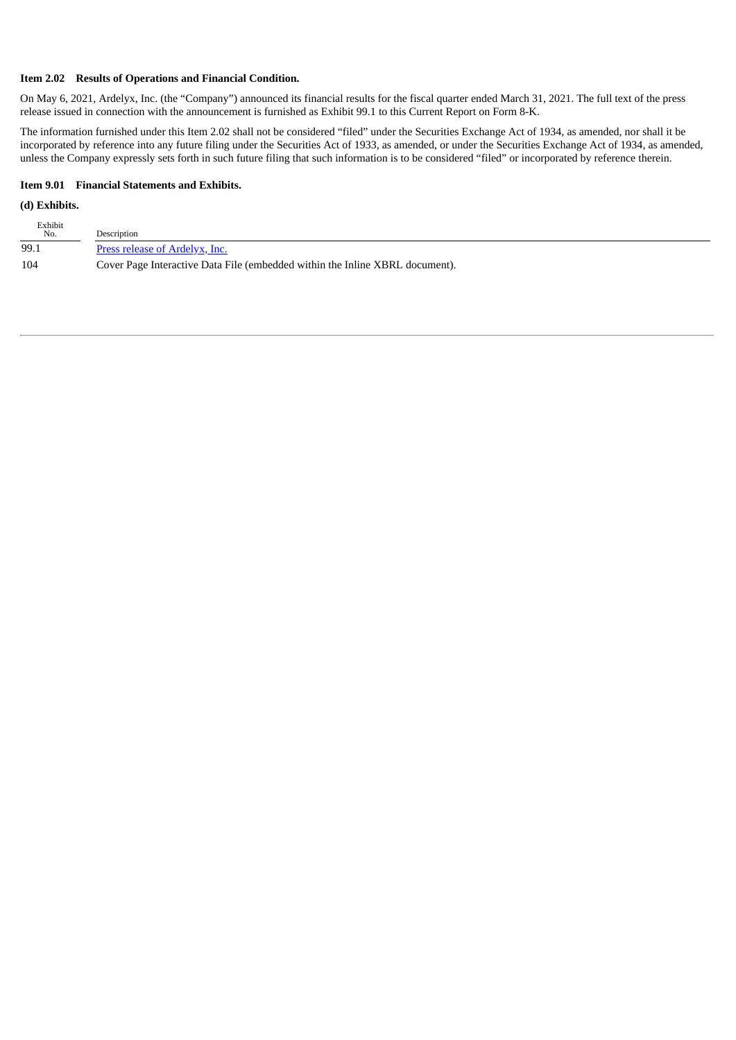#### **Item 2.02 Results of Operations and Financial Condition.**

On May 6, 2021, Ardelyx, Inc. (the "Company") announced its financial results for the fiscal quarter ended March 31, 2021. The full text of the press release issued in connection with the announcement is furnished as Exhibit 99.1 to this Current Report on Form 8-K.

The information furnished under this Item 2.02 shall not be considered "filed" under the Securities Exchange Act of 1934, as amended, nor shall it be incorporated by reference into any future filing under the Securities Act of 1933, as amended, or under the Securities Exchange Act of 1934, as amended, unless the Company expressly sets forth in such future filing that such information is to be considered "filed" or incorporated by reference therein.

### **Item 9.01 Financial Statements and Exhibits.**

### **(d) Exhibits.**

| Exhibit<br>No. | Description                                                                  |
|----------------|------------------------------------------------------------------------------|
| 99.1           | Press release of Ardelyx, Inc.                                               |
| 104            | Cover Page Interactive Data File (embedded within the Inline XBRL document). |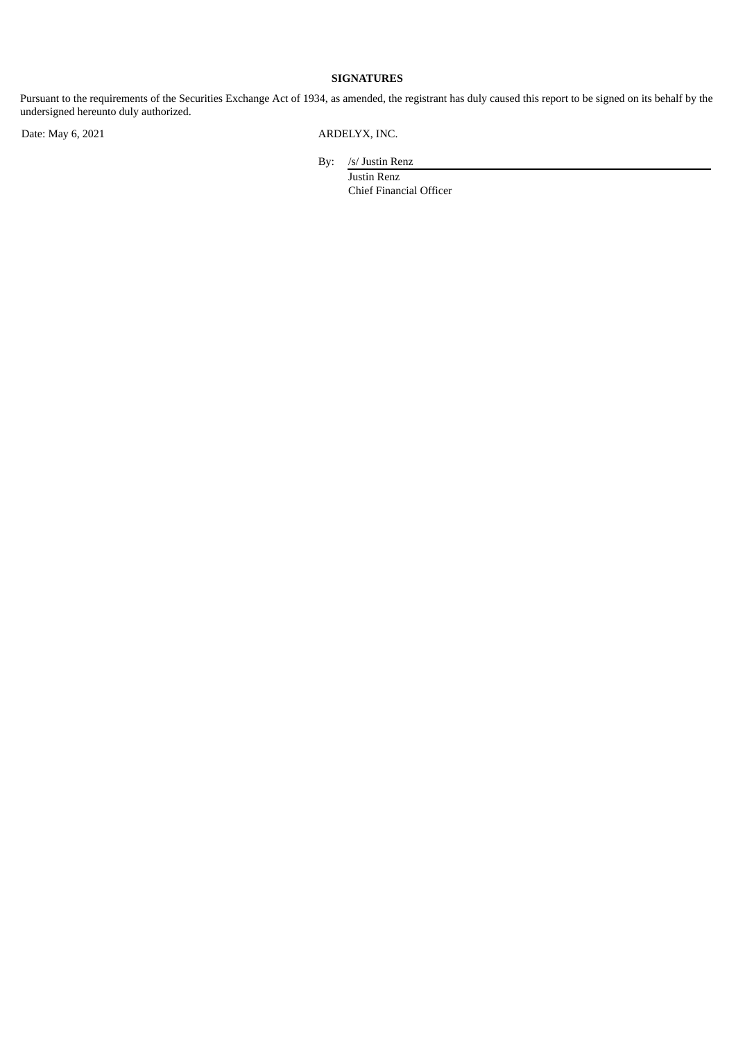### **SIGNATURES**

Pursuant to the requirements of the Securities Exchange Act of 1934, as amended, the registrant has duly caused this report to be signed on its behalf by the undersigned hereunto duly authorized.

Date: May 6, 2021 ARDELYX, INC.

By: /s/ Justin Renz Justin Renz

Chief Financial Officer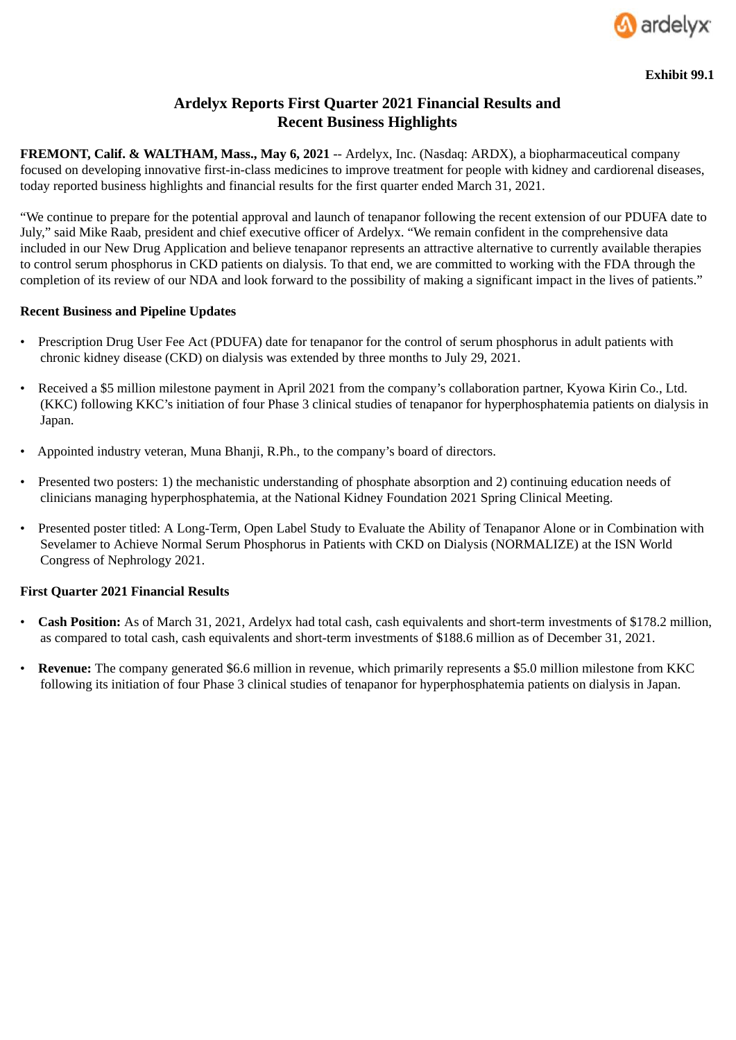

# **Ardelyx Reports First Quarter 2021 Financial Results and Recent Business Highlights**

<span id="page-3-0"></span>**FREMONT, Calif. & WALTHAM, Mass., May 6, 2021 -- Ardelyx, Inc. (Nasdaq: ARDX), a biopharmaceutical company** focused on developing innovative first-in-class medicines to improve treatment for people with kidney and cardiorenal diseases, today reported business highlights and financial results for the first quarter ended March 31, 2021.

"We continue to prepare for the potential approval and launch of tenapanor following the recent extension of our PDUFA date to July," said Mike Raab, president and chief executive officer of Ardelyx. "We remain confident in the comprehensive data included in our New Drug Application and believe tenapanor represents an attractive alternative to currently available therapies to control serum phosphorus in CKD patients on dialysis. To that end, we are committed to working with the FDA through the completion of its review of our NDA and look forward to the possibility of making a significant impact in the lives of patients."

## **Recent Business and Pipeline Updates**

- Prescription Drug User Fee Act (PDUFA) date for tenapanor for the control of serum phosphorus in adult patients with chronic kidney disease (CKD) on dialysis was extended by three months to July 29, 2021.
- Received a \$5 million milestone payment in April 2021 from the company's collaboration partner, Kyowa Kirin Co., Ltd. (KKC) following KKC's initiation of four Phase 3 clinical studies of tenapanor for hyperphosphatemia patients on dialysis in Japan.
- Appointed industry veteran, Muna Bhanji, R.Ph., to the company's board of directors.
- Presented two posters: 1) the mechanistic understanding of phosphate absorption and 2) continuing education needs of clinicians managing hyperphosphatemia, at the National Kidney Foundation 2021 Spring Clinical Meeting.
- Presented poster titled: A Long-Term, Open Label Study to Evaluate the Ability of Tenapanor Alone or in Combination with Sevelamer to Achieve Normal Serum Phosphorus in Patients with CKD on Dialysis (NORMALIZE) at the ISN World Congress of Nephrology 2021.

## **First Quarter 2021 Financial Results**

- **Cash Position:** As of March 31, 2021, Ardelyx had total cash, cash equivalents and short-term investments of \$178.2 million, as compared to total cash, cash equivalents and short-term investments of \$188.6 million as of December 31, 2021.
- **Revenue:** The company generated \$6.6 million in revenue, which primarily represents a \$5.0 million milestone from KKC following its initiation of four Phase 3 clinical studies of tenapanor for hyperphosphatemia patients on dialysis in Japan.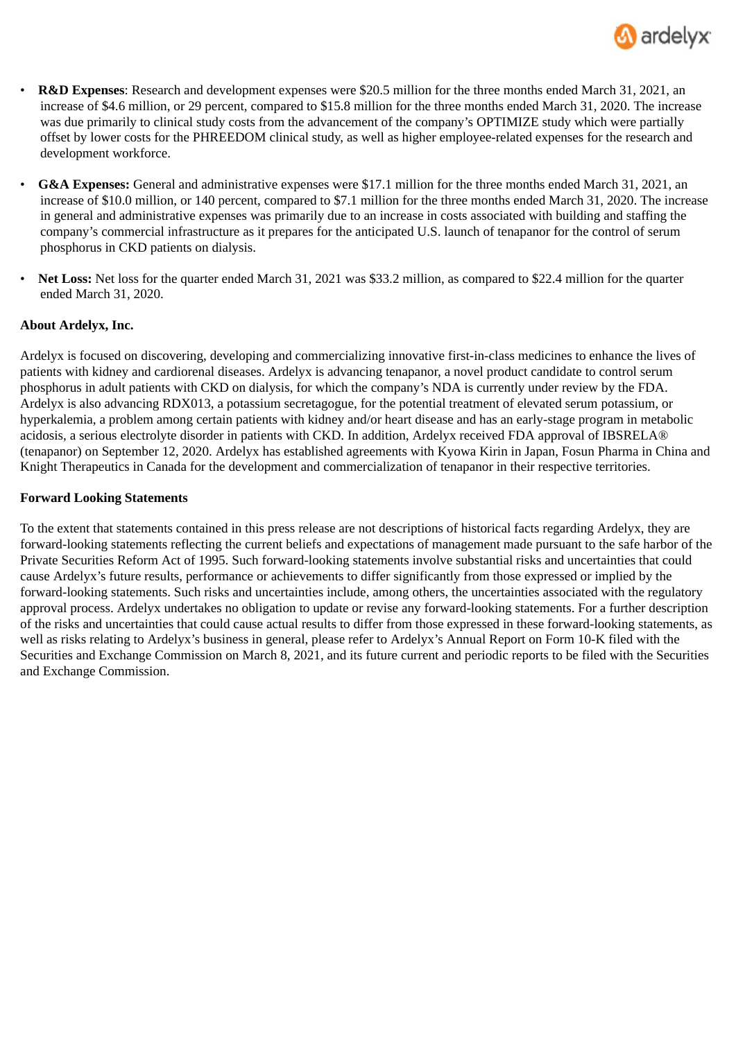

- **R&D Expenses**: Research and development expenses were \$20.5 million for the three months ended March 31, 2021, an increase of \$4.6 million, or 29 percent, compared to \$15.8 million for the three months ended March 31, 2020. The increase was due primarily to clinical study costs from the advancement of the company's OPTIMIZE study which were partially offset by lower costs for the PHREEDOM clinical study, as well as higher employee-related expenses for the research and development workforce.
- **G&A Expenses:** General and administrative expenses were \$17.1 million for the three months ended March 31, 2021, an increase of \$10.0 million, or 140 percent, compared to \$7.1 million for the three months ended March 31, 2020. The increase in general and administrative expenses was primarily due to an increase in costs associated with building and staffing the company's commercial infrastructure as it prepares for the anticipated U.S. launch of tenapanor for the control of serum phosphorus in CKD patients on dialysis.
- **Net Loss:** Net loss for the quarter ended March 31, 2021 was \$33.2 million, as compared to \$22.4 million for the quarter ended March 31, 2020.

## **About Ardelyx, Inc.**

Ardelyx is focused on discovering, developing and commercializing innovative first-in-class medicines to enhance the lives of patients with kidney and cardiorenal diseases. Ardelyx is advancing tenapanor, a novel product candidate to control serum phosphorus in adult patients with CKD on dialysis, for which the company's NDA is currently under review by the FDA. Ardelyx is also advancing RDX013, a potassium secretagogue, for the potential treatment of elevated serum potassium, or hyperkalemia, a problem among certain patients with kidney and/or heart disease and has an early-stage program in metabolic acidosis, a serious electrolyte disorder in patients with CKD. In addition, Ardelyx received FDA approval of IBSRELA® (tenapanor) on September 12, 2020. Ardelyx has established agreements with Kyowa Kirin in Japan, Fosun Pharma in China and Knight Therapeutics in Canada for the development and commercialization of tenapanor in their respective territories.

## **Forward Looking Statements**

To the extent that statements contained in this press release are not descriptions of historical facts regarding Ardelyx, they are forward-looking statements reflecting the current beliefs and expectations of management made pursuant to the safe harbor of the Private Securities Reform Act of 1995. Such forward-looking statements involve substantial risks and uncertainties that could cause Ardelyx's future results, performance or achievements to differ significantly from those expressed or implied by the forward-looking statements. Such risks and uncertainties include, among others, the uncertainties associated with the regulatory approval process. Ardelyx undertakes no obligation to update or revise any forward-looking statements. For a further description of the risks and uncertainties that could cause actual results to differ from those expressed in these forward-looking statements, as well as risks relating to Ardelyx's business in general, please refer to Ardelyx's Annual Report on Form 10-K filed with the Securities and Exchange Commission on March 8, 2021, and its future current and periodic reports to be filed with the Securities and Exchange Commission.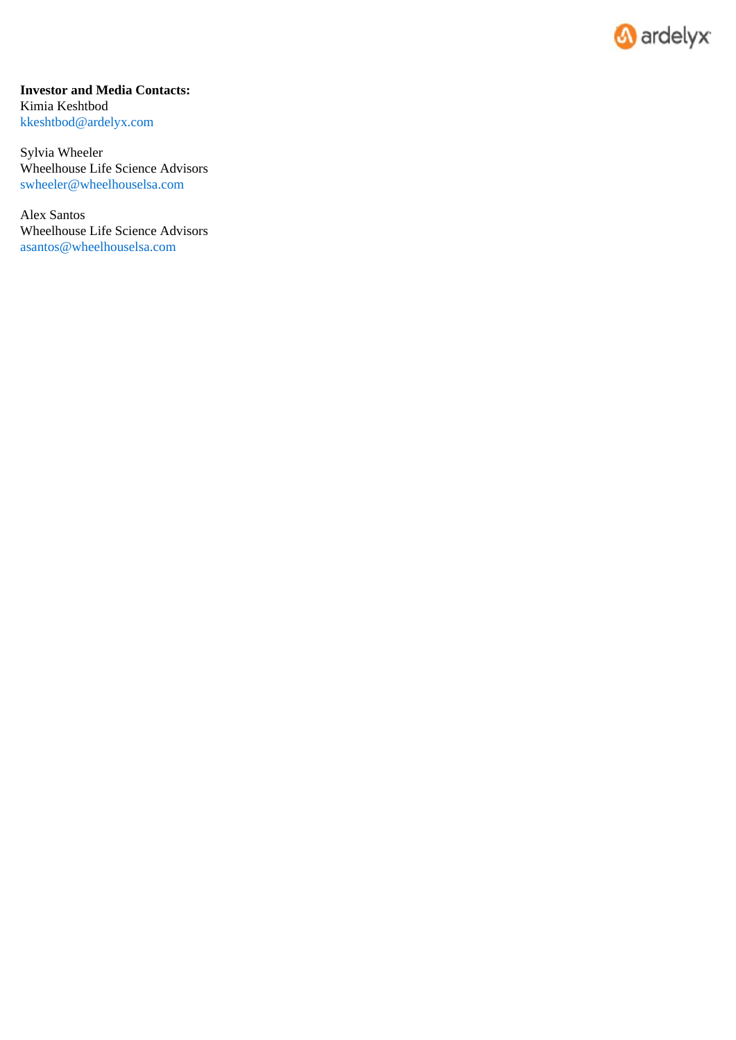

**Investor and Media Contacts:** Kimia Keshtbod kkeshtbod@ardelyx.com

Sylvia Wheeler Wheelhouse Life Science Advisors swheeler@wheelhouselsa.com

Alex Santos Wheelhouse Life Science Advisors asantos@wheelhouselsa.com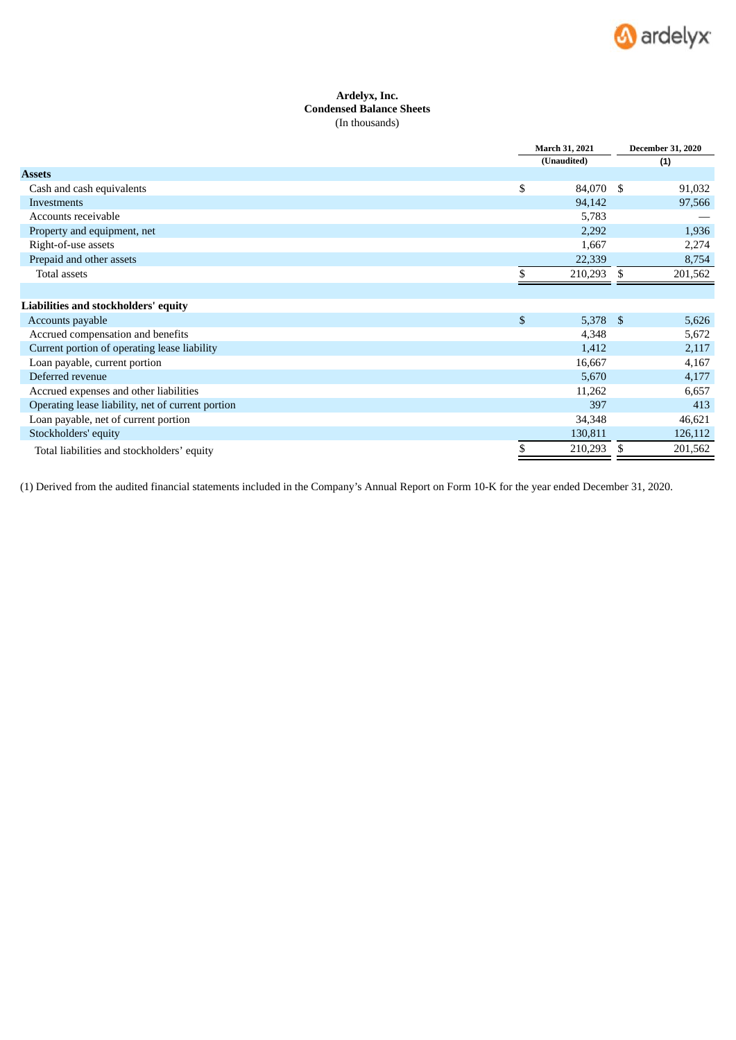

### **Ardelyx, Inc. Condensed Balance Sheets** (In thousands)

|                                                   | March 31, 2021   |      | <b>December 31, 2020</b> |  |
|---------------------------------------------------|------------------|------|--------------------------|--|
|                                                   | (Unaudited)      |      | (1)                      |  |
| <b>Assets</b>                                     |                  |      |                          |  |
| Cash and cash equivalents                         | \$<br>84,070     | - \$ | 91,032                   |  |
| Investments                                       | 94,142           |      | 97,566                   |  |
| Accounts receivable                               | 5,783            |      |                          |  |
| Property and equipment, net                       | 2,292            |      | 1,936                    |  |
| Right-of-use assets                               | 1,667            |      | 2,274                    |  |
| Prepaid and other assets                          | 22,339           |      | 8,754                    |  |
| Total assets                                      | \$<br>210,293    | -S   | 201,562                  |  |
|                                                   |                  |      |                          |  |
| Liabilities and stockholders' equity              |                  |      |                          |  |
| Accounts payable                                  | \$<br>$5,378$ \$ |      | 5,626                    |  |
| Accrued compensation and benefits                 | 4,348            |      | 5,672                    |  |
| Current portion of operating lease liability      | 1,412            |      | 2,117                    |  |
| Loan payable, current portion                     | 16,667           |      | 4,167                    |  |
| Deferred revenue                                  | 5,670            |      | 4,177                    |  |
| Accrued expenses and other liabilities            | 11,262           |      | 6,657                    |  |
| Operating lease liability, net of current portion | 397              |      | 413                      |  |
| Loan payable, net of current portion              | 34,348           |      | 46,621                   |  |
| Stockholders' equity                              | 130,811          |      | 126,112                  |  |
| Total liabilities and stockholders' equity        | \$<br>210,293    | -S   | 201,562                  |  |

(1) Derived from the audited financial statements included in the Company's Annual Report on Form 10-K for the year ended December 31, 2020.